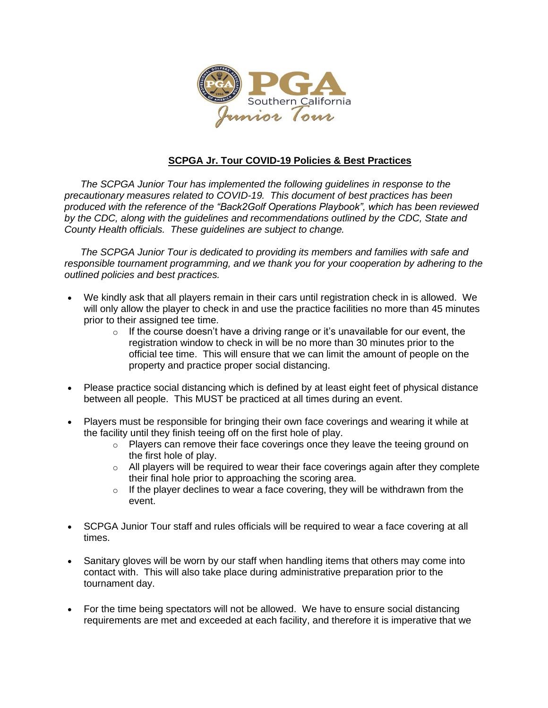

## **SCPGA Jr. Tour COVID-19 Policies & Best Practices**

*The SCPGA Junior Tour has implemented the following guidelines in response to the precautionary measures related to COVID-19. This document of best practices has been produced with the reference of the "Back2Golf Operations Playbook", which has been reviewed by the CDC, along with the guidelines and recommendations outlined by the CDC, State and County Health officials. These guidelines are subject to change.* 

*The SCPGA Junior Tour is dedicated to providing its members and families with safe and responsible tournament programming, and we thank you for your cooperation by adhering to the outlined policies and best practices.* 

- We kindly ask that all players remain in their cars until registration check in is allowed. We will only allow the player to check in and use the practice facilities no more than 45 minutes prior to their assigned tee time.
	- $\circ$  If the course doesn't have a driving range or it's unavailable for our event, the registration window to check in will be no more than 30 minutes prior to the official tee time. This will ensure that we can limit the amount of people on the property and practice proper social distancing.
- Please practice social distancing which is defined by at least eight feet of physical distance between all people. This MUST be practiced at all times during an event.
- Players must be responsible for bringing their own face coverings and wearing it while at the facility until they finish teeing off on the first hole of play.
	- $\circ$  Players can remove their face coverings once they leave the teeing ground on the first hole of play.
	- $\circ$  All players will be required to wear their face coverings again after they complete their final hole prior to approaching the scoring area.
	- $\circ$  If the player declines to wear a face covering, they will be withdrawn from the event.
- SCPGA Junior Tour staff and rules officials will be required to wear a face covering at all times.
- Sanitary gloves will be worn by our staff when handling items that others may come into contact with. This will also take place during administrative preparation prior to the tournament day.
- For the time being spectators will not be allowed. We have to ensure social distancing requirements are met and exceeded at each facility, and therefore it is imperative that we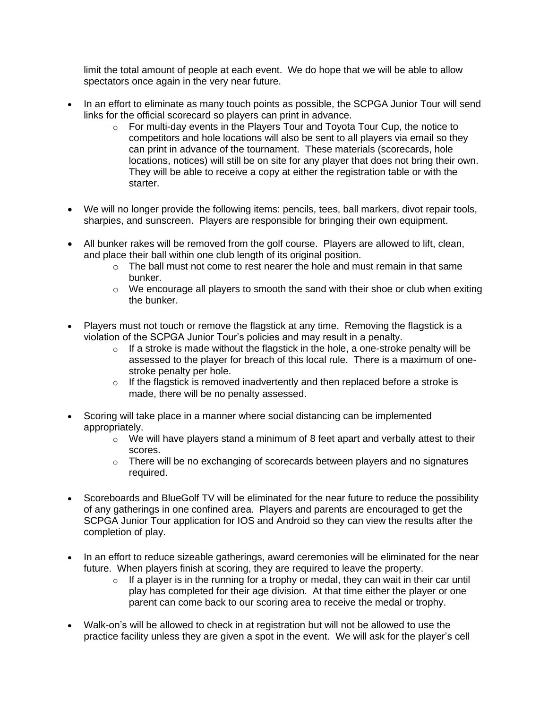limit the total amount of people at each event. We do hope that we will be able to allow spectators once again in the very near future.

- In an effort to eliminate as many touch points as possible, the SCPGA Junior Tour will send links for the official scorecard so players can print in advance.
	- o For multi-day events in the Players Tour and Toyota Tour Cup, the notice to competitors and hole locations will also be sent to all players via email so they can print in advance of the tournament. These materials (scorecards, hole locations, notices) will still be on site for any player that does not bring their own. They will be able to receive a copy at either the registration table or with the starter.
- We will no longer provide the following items: pencils, tees, ball markers, divot repair tools, sharpies, and sunscreen. Players are responsible for bringing their own equipment.
- All bunker rakes will be removed from the golf course. Players are allowed to lift, clean, and place their ball within one club length of its original position.
	- $\circ$  The ball must not come to rest nearer the hole and must remain in that same bunker.
	- o We encourage all players to smooth the sand with their shoe or club when exiting the bunker.
- Players must not touch or remove the flagstick at any time. Removing the flagstick is a violation of the SCPGA Junior Tour's policies and may result in a penalty.
	- $\circ$  If a stroke is made without the flagstick in the hole, a one-stroke penalty will be assessed to the player for breach of this local rule. There is a maximum of onestroke penalty per hole.
	- $\circ$  If the flagstick is removed inadvertently and then replaced before a stroke is made, there will be no penalty assessed.
- Scoring will take place in a manner where social distancing can be implemented appropriately.
	- $\circ$  We will have players stand a minimum of 8 feet apart and verbally attest to their scores.
	- o There will be no exchanging of scorecards between players and no signatures required.
- Scoreboards and BlueGolf TV will be eliminated for the near future to reduce the possibility of any gatherings in one confined area. Players and parents are encouraged to get the SCPGA Junior Tour application for IOS and Android so they can view the results after the completion of play.
- In an effort to reduce sizeable gatherings, award ceremonies will be eliminated for the near future. When players finish at scoring, they are required to leave the property.
	- $\circ$  If a player is in the running for a trophy or medal, they can wait in their car until play has completed for their age division. At that time either the player or one parent can come back to our scoring area to receive the medal or trophy.
- Walk-on's will be allowed to check in at registration but will not be allowed to use the practice facility unless they are given a spot in the event. We will ask for the player's cell